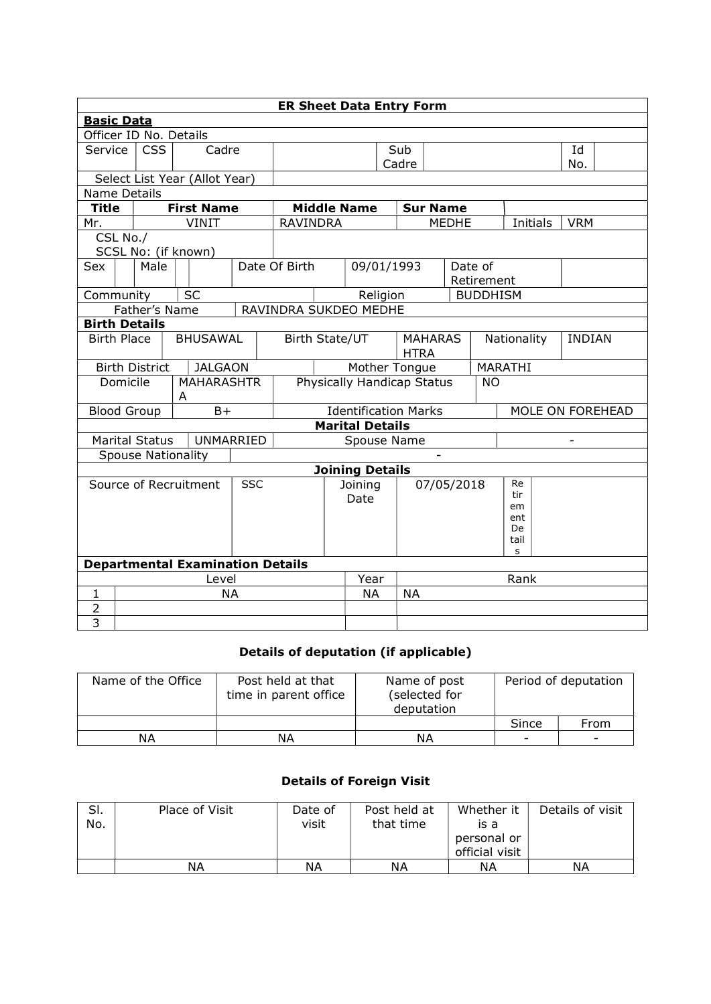| <b>ER Sheet Data Entry Form</b> |                                         |   |                   |            |                                  |                                         |                             |       |             |              |                 |                          |     |            |                  |
|---------------------------------|-----------------------------------------|---|-------------------|------------|----------------------------------|-----------------------------------------|-----------------------------|-------|-------------|--------------|-----------------|--------------------------|-----|------------|------------------|
| <b>Basic Data</b>               |                                         |   |                   |            |                                  |                                         |                             |       |             |              |                 |                          |     |            |                  |
| Officer ID No. Details          |                                         |   |                   |            |                                  |                                         |                             |       |             |              |                 |                          |     |            |                  |
| Service                         | <b>CSS</b>                              |   | Cadre             |            | Sub                              |                                         |                             |       | Id          |              |                 |                          |     |            |                  |
|                                 |                                         |   |                   |            |                                  |                                         |                             | Cadre |             |              |                 |                          | No. |            |                  |
| Select List Year (Allot Year)   |                                         |   |                   |            |                                  |                                         |                             |       |             |              |                 |                          |     |            |                  |
| Name Details                    |                                         |   |                   |            |                                  |                                         |                             |       |             |              |                 |                          |     |            |                  |
| <b>Title</b>                    |                                         |   | <b>First Name</b> |            |                                  | <b>Middle Name</b><br><b>Sur Name</b>   |                             |       |             |              |                 |                          |     |            |                  |
| Mr.                             |                                         |   | <b>VINIT</b>      |            | <b>RAVINDRA</b>                  |                                         |                             |       |             | <b>MEDHE</b> |                 | Initials                 |     | <b>VRM</b> |                  |
| CSL No./                        | SCSL No: (if known)                     |   |                   |            |                                  |                                         |                             |       |             |              |                 |                          |     |            |                  |
| Sex                             | Male                                    |   |                   |            | Date Of Birth                    |                                         | 09/01/1993                  |       |             | Date of      |                 |                          |     |            |                  |
|                                 |                                         |   |                   |            |                                  |                                         |                             |       |             |              | Retirement      |                          |     |            |                  |
| Community                       |                                         |   | <b>SC</b>         |            |                                  |                                         | Religion                    |       |             |              | <b>BUDDHISM</b> |                          |     |            |                  |
|                                 | Father's Name                           |   |                   |            | RAVINDRA SUKDEO MEDHE            |                                         |                             |       |             |              |                 |                          |     |            |                  |
| <b>Birth Details</b>            |                                         |   |                   |            |                                  |                                         |                             |       |             |              |                 |                          |     |            |                  |
| <b>Birth Place</b>              |                                         |   | <b>BHUSAWAL</b>   |            | Birth State/UT<br><b>MAHARAS</b> |                                         |                             |       | Nationality |              |                 | <b>INDIAN</b>            |     |            |                  |
|                                 |                                         |   |                   |            |                                  | <b>HTRA</b>                             |                             |       |             |              |                 |                          |     |            |                  |
|                                 | <b>Birth District</b>                   |   | <b>JALGAON</b>    |            |                                  |                                         | Mother Tongue               |       |             |              |                 | MARATHI                  |     |            |                  |
| Domicile                        |                                         |   | <b>MAHARASHTR</b> |            |                                  | Physically Handicap Status<br><b>NO</b> |                             |       |             |              |                 |                          |     |            |                  |
|                                 |                                         | A |                   |            |                                  |                                         |                             |       |             |              |                 |                          |     |            |                  |
| <b>Blood Group</b>              |                                         |   | $B+$              |            |                                  |                                         | <b>Identification Marks</b> |       |             |              |                 |                          |     |            | MOLE ON FOREHEAD |
|                                 |                                         |   |                   |            |                                  |                                         | <b>Marital Details</b>      |       |             |              |                 |                          |     |            |                  |
| <b>Marital Status</b>           |                                         |   | UNMARRIED         |            | Spouse Name                      |                                         |                             |       |             |              |                 | $\overline{\phantom{a}}$ |     |            |                  |
|                                 | <b>Spouse Nationality</b>               |   |                   |            |                                  |                                         |                             |       |             |              |                 |                          |     |            |                  |
| Source of Recruitment           |                                         |   |                   | <b>SSC</b> |                                  |                                         | <b>Joining Details</b>      |       |             |              |                 | Re                       |     |            |                  |
|                                 |                                         |   |                   |            |                                  |                                         | Joining                     |       | 07/05/2018  |              |                 | tir                      |     |            |                  |
|                                 |                                         |   |                   |            |                                  |                                         | Date                        |       |             |              |                 | em                       |     |            |                  |
|                                 |                                         |   |                   |            |                                  |                                         |                             |       |             | ent          |                 |                          |     |            |                  |
|                                 |                                         |   |                   |            |                                  |                                         |                             |       |             | De<br>tail   |                 |                          |     |            |                  |
|                                 |                                         |   |                   |            |                                  |                                         |                             |       |             |              | s               |                          |     |            |                  |
|                                 | <b>Departmental Examination Details</b> |   |                   |            |                                  |                                         |                             |       |             |              |                 |                          |     |            |                  |
| Level                           |                                         |   |                   |            |                                  | Year                                    |                             |       |             |              | Rank            |                          |     |            |                  |
| $\mathbf{1}$                    |                                         |   | <b>NA</b>         |            |                                  |                                         | <b>NA</b>                   |       | <b>NA</b>   |              |                 |                          |     |            |                  |
| $\overline{2}$                  |                                         |   |                   |            |                                  |                                         |                             |       |             |              |                 |                          |     |            |                  |
| $\overline{3}$                  |                                         |   |                   |            |                                  |                                         |                             |       |             |              |                 |                          |     |            |                  |

## Details of deputation (if applicable)

| Name of the Office | Post held at that<br>time in parent office | Name of post<br>(selected for<br>deputation | Period of deputation |                          |  |
|--------------------|--------------------------------------------|---------------------------------------------|----------------------|--------------------------|--|
|                    |                                            |                                             | Since                | From                     |  |
| ΝA                 | ΝA                                         | ΝA                                          | -                    | $\overline{\phantom{a}}$ |  |

## Details of Foreign Visit

| SI.<br>No. | Place of Visit | Date of<br>visit | Post held at<br>that time | Whether it<br>is a<br>personal or | Details of visit |
|------------|----------------|------------------|---------------------------|-----------------------------------|------------------|
|            |                |                  |                           | official visit                    |                  |
|            | ΝA             | ΝA               | ΝA                        | ΝA                                | NΑ               |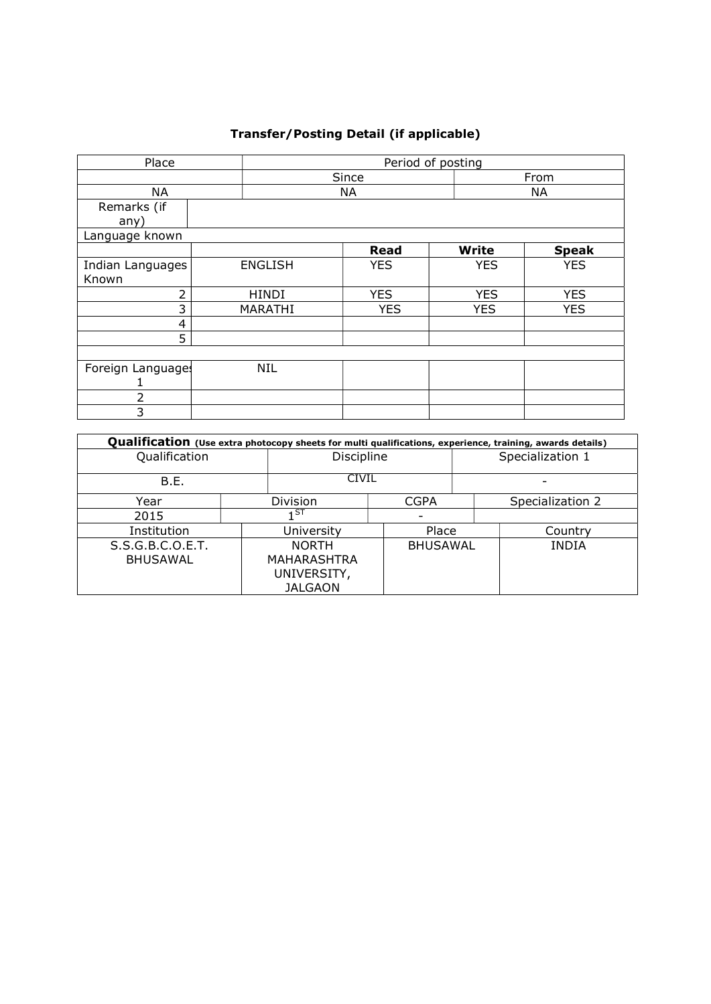## Transfer/Posting Detail (if applicable)

| Place            |                | Period of posting |              |              |  |  |  |  |  |
|------------------|----------------|-------------------|--------------|--------------|--|--|--|--|--|
|                  |                | Since             |              |              |  |  |  |  |  |
| NA               |                | <b>NA</b>         |              | <b>NA</b>    |  |  |  |  |  |
| Remarks (if      |                |                   |              |              |  |  |  |  |  |
| any)             |                |                   |              |              |  |  |  |  |  |
| Language known   |                |                   |              |              |  |  |  |  |  |
|                  |                | <b>Read</b>       | <b>Write</b> | <b>Speak</b> |  |  |  |  |  |
| Indian Languages | <b>ENGLISH</b> | <b>YES</b>        | <b>YES</b>   | <b>YES</b>   |  |  |  |  |  |
| Known            |                |                   |              |              |  |  |  |  |  |
| 2                | <b>HINDI</b>   | <b>YES</b>        | <b>YES</b>   | <b>YES</b>   |  |  |  |  |  |
| 3                | MARATHI        | <b>YES</b>        | <b>YES</b>   | <b>YES</b>   |  |  |  |  |  |
| 4                |                |                   |              |              |  |  |  |  |  |
| 5                |                |                   |              |              |  |  |  |  |  |
|                  |                |                   |              |              |  |  |  |  |  |
| Foreign Language | <b>NIL</b>     |                   |              |              |  |  |  |  |  |
|                  |                |                   |              |              |  |  |  |  |  |
| $\overline{2}$   |                |                   |              |              |  |  |  |  |  |
| 3                |                |                   |              |              |  |  |  |  |  |

| Qualification (Use extra photocopy sheets for multi qualifications, experience, training, awards details) |  |                                                                     |                 |                  |                  |  |  |  |  |  |
|-----------------------------------------------------------------------------------------------------------|--|---------------------------------------------------------------------|-----------------|------------------|------------------|--|--|--|--|--|
| Qualification                                                                                             |  | Discipline                                                          |                 | Specialization 1 |                  |  |  |  |  |  |
| B.E.                                                                                                      |  | <b>CIVIL</b>                                                        |                 |                  |                  |  |  |  |  |  |
| Year                                                                                                      |  | Division<br><b>CGPA</b>                                             |                 |                  | Specialization 2 |  |  |  |  |  |
| 2015                                                                                                      |  |                                                                     |                 |                  |                  |  |  |  |  |  |
| Institution                                                                                               |  | Place<br>University                                                 |                 |                  | Country          |  |  |  |  |  |
| S.S.G.B.C.O.E.T.<br><b>BHUSAWAL</b>                                                                       |  | <b>NORTH</b><br><b>MAHARASHTRA</b><br>UNIVERSITY,<br><b>JALGAON</b> | <b>BHUSAWAL</b> |                  | <b>INDIA</b>     |  |  |  |  |  |